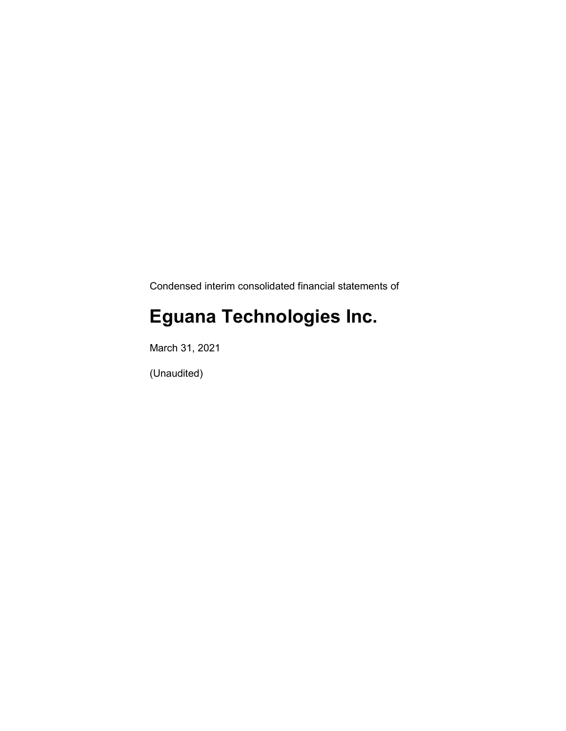Condensed interim consolidated financial statements of

# **Eguana Technologies Inc.**

March 31, 2021

(Unaudited)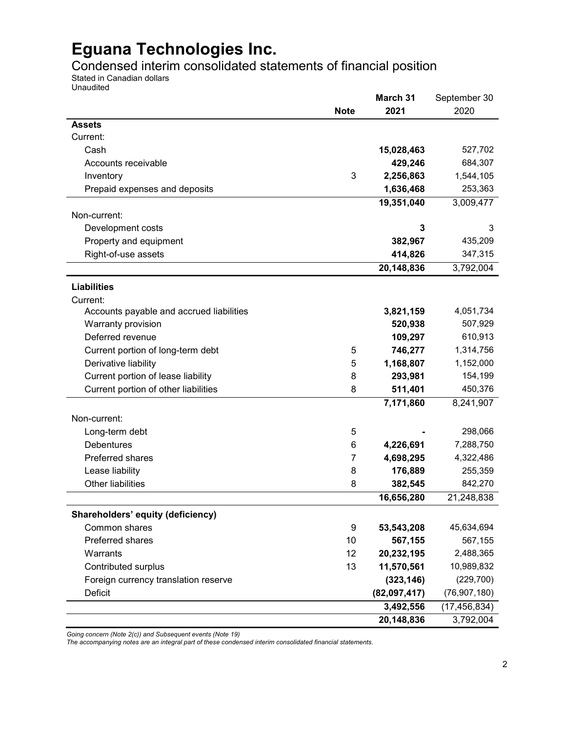Condensed interim consolidated statements of financial position

Stated in Canadian dollars Unaudited

|                                          |             | March 31     | September 30   |
|------------------------------------------|-------------|--------------|----------------|
|                                          | <b>Note</b> | 2021         | 2020           |
| <b>Assets</b>                            |             |              |                |
| Current:                                 |             |              |                |
| Cash                                     |             | 15,028,463   | 527,702        |
| Accounts receivable                      |             | 429,246      | 684,307        |
| Inventory                                | 3           | 2,256,863    | 1,544,105      |
| Prepaid expenses and deposits            |             | 1,636,468    | 253,363        |
|                                          |             | 19,351,040   | 3,009,477      |
| Non-current:                             |             |              |                |
| Development costs                        |             | 3            | 3              |
| Property and equipment                   |             | 382,967      | 435,209        |
| Right-of-use assets                      |             | 414,826      | 347,315        |
|                                          |             | 20,148,836   | 3,792,004      |
| <b>Liabilities</b>                       |             |              |                |
| Current:                                 |             |              |                |
| Accounts payable and accrued liabilities |             | 3,821,159    | 4,051,734      |
| Warranty provision                       |             | 520,938      | 507,929        |
| Deferred revenue                         |             | 109,297      | 610,913        |
| Current portion of long-term debt        | 5           | 746,277      | 1,314,756      |
| Derivative liability                     | 5           | 1,168,807    | 1,152,000      |
| Current portion of lease liability       | 8           | 293,981      | 154,199        |
| Current portion of other liabilities     | 8           | 511,401      | 450,376        |
|                                          |             | 7,171,860    | 8,241,907      |
| Non-current:                             |             |              |                |
| Long-term debt                           | 5           |              | 298,066        |
| <b>Debentures</b>                        | 6           | 4,226,691    | 7,288,750      |
| Preferred shares                         | 7           | 4,698,295    | 4,322,486      |
| Lease liability                          | 8           | 176,889      | 255,359        |
| <b>Other liabilities</b>                 | 8           | 382,545      | 842,270        |
|                                          |             | 16,656,280   | 21,248,838     |
| Shareholders' equity (deficiency)        |             |              |                |
| Common shares                            | 9           | 53,543,208   | 45,634,694     |
| Preferred shares                         | 10          | 567,155      | 567,155        |
| Warrants                                 | 12          | 20,232,195   | 2,488,365      |
| Contributed surplus                      | 13          | 11,570,561   | 10,989,832     |
| Foreign currency translation reserve     |             | (323, 146)   | (229, 700)     |
| <b>Deficit</b>                           |             | (82,097,417) | (76, 907, 180) |
|                                          |             | 3,492,556    | (17, 456, 834) |
|                                          |             | 20,148,836   | 3,792,004      |

*Going concern (Note 2(c)) and Subsequent events (Note 19)*

*The accompanying notes are an integral part of these condensed interim consolidated financial statements.*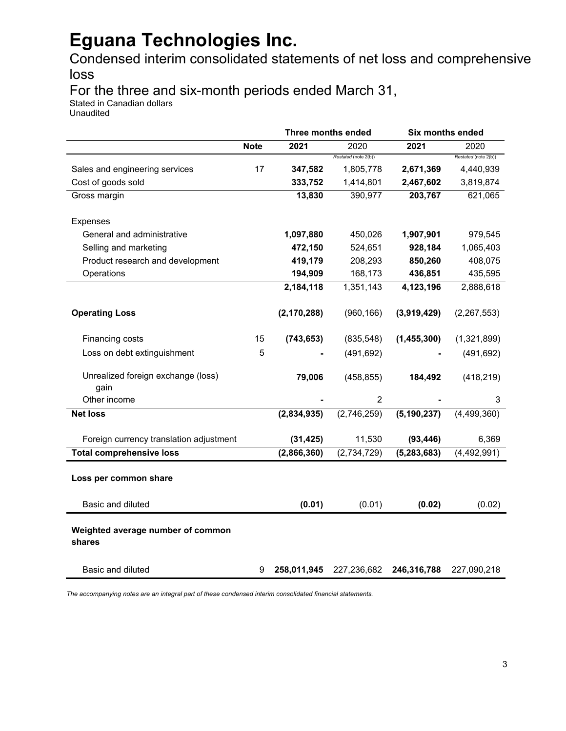Condensed interim consolidated statements of net loss and comprehensive loss

For the three and six-month periods ended March 31,

Stated in Canadian dollars

Unaudited

|                                             |             |               | Three months ended   | <b>Six months ended</b> |                      |
|---------------------------------------------|-------------|---------------|----------------------|-------------------------|----------------------|
|                                             | <b>Note</b> | 2021          | 2020                 | 2021                    | 2020                 |
|                                             |             |               | Restated (note 2(b)) |                         | Restated (note 2(b)) |
| Sales and engineering services              | 17          | 347,582       | 1,805,778            | 2,671,369               | 4,440,939            |
| Cost of goods sold                          |             | 333,752       | 1,414,801            | 2,467,602               | 3,819,874            |
| Gross margin                                |             | 13,830        | 390,977              | 203,767                 | 621,065              |
| Expenses                                    |             |               |                      |                         |                      |
| General and administrative                  |             | 1,097,880     | 450,026              | 1,907,901               | 979,545              |
| Selling and marketing                       |             | 472,150       | 524,651              | 928,184                 | 1,065,403            |
| Product research and development            |             | 419,179       | 208,293              | 850,260                 | 408,075              |
| Operations                                  |             | 194,909       | 168,173              | 436,851                 | 435,595              |
|                                             |             | 2,184,118     | 1,351,143            | 4,123,196               | 2,888,618            |
| <b>Operating Loss</b>                       |             | (2, 170, 288) | (960, 166)           | (3,919,429)             | (2, 267, 553)        |
| Financing costs                             | 15          | (743, 653)    | (835, 548)           | (1,455,300)             | (1,321,899)          |
| Loss on debt extinguishment                 | 5           |               | (491, 692)           |                         | (491, 692)           |
| Unrealized foreign exchange (loss)<br>gain  |             | 79,006        | (458, 855)           | 184,492                 | (418, 219)           |
| Other income                                |             |               | $\overline{2}$       |                         | 3                    |
| <b>Net loss</b>                             |             | (2,834,935)   | (2,746,259)          | (5, 190, 237)           | (4,499,360)          |
| Foreign currency translation adjustment     |             | (31, 425)     | 11,530               | (93, 446)               | 6,369                |
| <b>Total comprehensive loss</b>             |             | (2,866,360)   | (2,734,729)          | (5, 283, 683)           | (4,492,991)          |
| Loss per common share                       |             |               |                      |                         |                      |
| Basic and diluted                           |             | (0.01)        | (0.01)               | (0.02)                  | (0.02)               |
| Weighted average number of common<br>shares |             |               |                      |                         |                      |
| Basic and diluted                           | 9           | 258,011,945   | 227,236,682          | 246,316,788             | 227,090,218          |

*The accompanying notes are an integral part of these condensed interim consolidated financial statements.*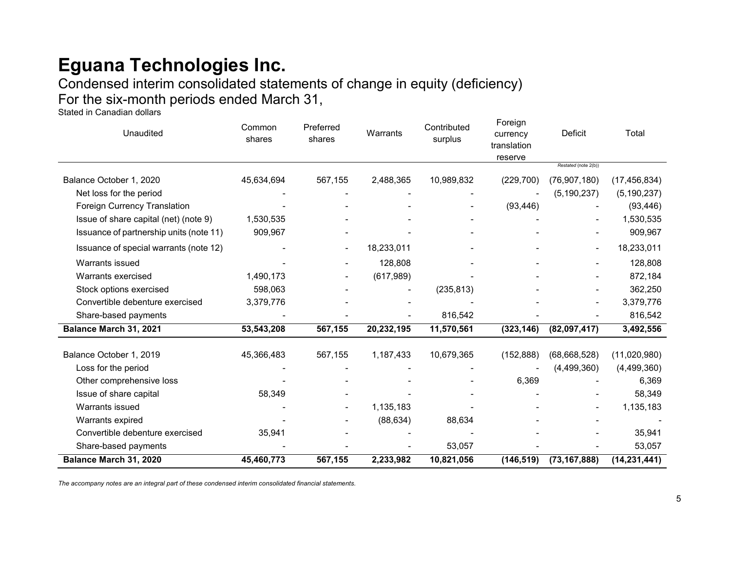Condensed interim consolidated statements of change in equity (deficiency) For the six-month periods ended March 31,

Stated in Canadian dollars

| Unaudited                               | Common<br>shares | Preferred<br>shares | Warrants   | Contributed<br>surplus | Foreign<br>currency<br>translation<br>reserve | Deficit              | Total          |
|-----------------------------------------|------------------|---------------------|------------|------------------------|-----------------------------------------------|----------------------|----------------|
|                                         |                  |                     |            |                        |                                               | Restated (note 2(b)) |                |
| Balance October 1, 2020                 | 45,634,694       | 567,155             | 2,488,365  | 10,989,832             | (229, 700)                                    | (76, 907, 180)       | (17, 456, 834) |
| Net loss for the period                 |                  |                     |            |                        |                                               | (5, 190, 237)        | (5, 190, 237)  |
| <b>Foreign Currency Translation</b>     |                  |                     |            |                        | (93, 446)                                     |                      | (93, 446)      |
| Issue of share capital (net) (note 9)   | 1,530,535        |                     |            |                        |                                               |                      | 1,530,535      |
| Issuance of partnership units (note 11) | 909,967          |                     |            |                        |                                               |                      | 909,967        |
| Issuance of special warrants (note 12)  |                  |                     | 18,233,011 |                        |                                               |                      | 18,233,011     |
| Warrants issued                         |                  |                     | 128,808    |                        |                                               |                      | 128,808        |
| Warrants exercised                      | 1,490,173        |                     | (617,989)  |                        |                                               |                      | 872,184        |
| Stock options exercised                 | 598,063          |                     |            | (235, 813)             |                                               |                      | 362,250        |
| Convertible debenture exercised         | 3,379,776        |                     |            |                        |                                               | $\blacksquare$       | 3,379,776      |
| Share-based payments                    |                  |                     |            | 816,542                |                                               |                      | 816,542        |
| Balance March 31, 2021                  | 53,543,208       | 567,155             | 20,232,195 | 11,570,561             | (323, 146)                                    | (82,097,417)         | 3,492,556      |
| Balance October 1, 2019                 | 45,366,483       | 567,155             | 1,187,433  | 10,679,365             | (152, 888)                                    | (68, 668, 528)       | (11,020,980)   |
| Loss for the period                     |                  |                     |            |                        |                                               | (4,499,360)          | (4,499,360)    |
| Other comprehensive loss                |                  |                     |            |                        | 6,369                                         |                      | 6,369          |
| Issue of share capital                  | 58,349           |                     |            |                        |                                               |                      | 58,349         |
| Warrants issued                         |                  |                     | 1,135,183  |                        |                                               |                      | 1,135,183      |
| Warrants expired                        |                  |                     | (88, 634)  | 88,634                 |                                               |                      |                |
| Convertible debenture exercised         | 35,941           |                     |            |                        |                                               |                      | 35,941         |
| Share-based payments                    |                  |                     |            | 53,057                 |                                               |                      | 53,057         |
| Balance March 31, 2020                  | 45,460,773       | 567,155             | 2,233,982  | 10,821,056             | (146, 519)                                    | (73, 167, 888)       | (14, 231, 441) |

*The accompany notes are an integral part of these condensed interim consolidated financial statements.*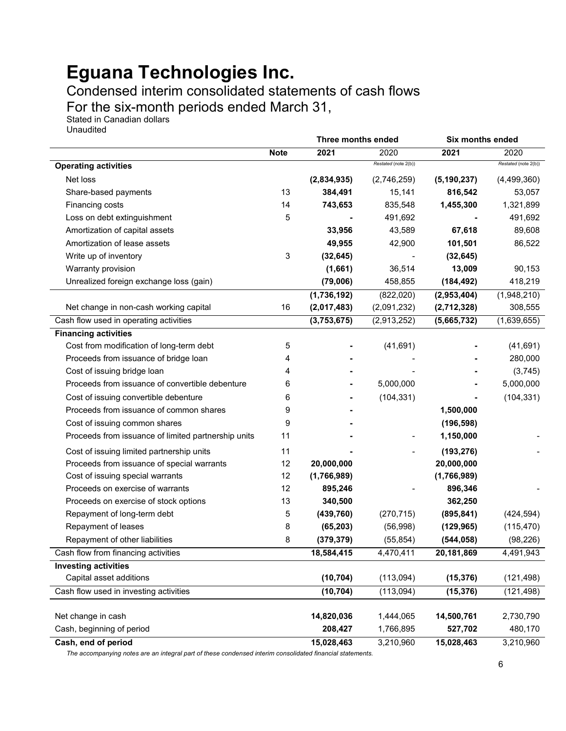Condensed interim consolidated statements of cash flows

For the six-month periods ended March 31,

Stated in Canadian dollars Unaudited

|                                                     |             | Three months ended |                      | Six months ended |                      |
|-----------------------------------------------------|-------------|--------------------|----------------------|------------------|----------------------|
|                                                     | <b>Note</b> | 2021               | 2020                 | 2021             | 2020                 |
| <b>Operating activities</b>                         |             |                    | Restated (note 2(b)) |                  | Restated (note 2(b)) |
| Net loss                                            |             | (2,834,935)        | (2,746,259)          | (5, 190, 237)    | (4, 499, 360)        |
| Share-based payments                                | 13          | 384,491            | 15,141               | 816,542          | 53,057               |
| Financing costs                                     | 14          | 743,653            | 835,548              | 1,455,300        | 1,321,899            |
| Loss on debt extinguishment                         | 5           |                    | 491,692              |                  | 491,692              |
| Amortization of capital assets                      |             | 33,956             | 43,589               | 67,618           | 89,608               |
| Amortization of lease assets                        |             | 49,955             | 42,900               | 101,501          | 86,522               |
| Write up of inventory                               | $\sqrt{3}$  | (32, 645)          |                      | (32, 645)        |                      |
| Warranty provision                                  |             | (1,661)            | 36,514               | 13,009           | 90,153               |
| Unrealized foreign exchange loss (gain)             |             | (79,006)           | 458,855              | (184, 492)       | 418,219              |
|                                                     |             | (1,736,192)        | (822,020)            | (2,953,404)      | (1,948,210)          |
| Net change in non-cash working capital              | 16          | (2,017,483)        | (2,091,232)          | (2,712,328)      | 308,555              |
| Cash flow used in operating activities              |             | (3,753,675)        | (2,913,252)          | (5,665,732)      | (1,639,655)          |
| <b>Financing activities</b>                         |             |                    |                      |                  |                      |
| Cost from modification of long-term debt            | 5           |                    | (41, 691)            |                  | (41, 691)            |
| Proceeds from issuance of bridge loan               | 4           |                    |                      |                  | 280,000              |
| Cost of issuing bridge loan                         | 4           |                    |                      |                  | (3,745)              |
| Proceeds from issuance of convertible debenture     | 6           |                    | 5,000,000            |                  | 5,000,000            |
| Cost of issuing convertible debenture               | 6           |                    | (104, 331)           |                  | (104, 331)           |
| Proceeds from issuance of common shares             | 9           |                    |                      | 1,500,000        |                      |
| Cost of issuing common shares                       | 9           |                    |                      | (196, 598)       |                      |
| Proceeds from issuance of limited partnership units | 11          |                    |                      | 1,150,000        |                      |
| Cost of issuing limited partnership units           | 11          |                    |                      | (193, 276)       |                      |
| Proceeds from issuance of special warrants          | 12          | 20,000,000         |                      | 20,000,000       |                      |
| Cost of issuing special warrants                    | 12          | (1,766,989)        |                      | (1,766,989)      |                      |
| Proceeds on exercise of warrants                    | 12          | 895,246            |                      | 896,346          |                      |
| Proceeds on exercise of stock options               | 13          | 340,500            |                      | 362,250          |                      |
| Repayment of long-term debt                         | 5           | (439, 760)         | (270, 715)           | (895, 841)       | (424, 594)           |
| Repayment of leases                                 | 8           | (65, 203)          | (56, 998)            | (129, 965)       | (115, 470)           |
| Repayment of other liabilities                      | 8           | (379, 379)         | (55, 854)            | (544, 058)       | (98, 226)            |
| Cash flow from financing activities                 |             | 18,584,415         | 4,470,411            | 20,181,869       | 4,491,943            |
| <b>Investing activities</b>                         |             |                    |                      |                  |                      |
| Capital asset additions                             |             | (10, 704)          | (113,094)            | (15, 376)        | (121, 498)           |
| Cash flow used in investing activities              |             | (10, 704)          | (113,094)            | (15, 376)        | (121, 498)           |
| Net change in cash                                  |             | 14,820,036         | 1,444,065            | 14,500,761       | 2,730,790            |
| Cash, beginning of period                           |             | 208,427            | 1,766,895            | 527,702          | 480,170              |
| Cash, end of period                                 |             | 15,028,463         | 3,210,960            | 15,028,463       | 3,210,960            |

*The accompanying notes are an integral part of these condensed interim consolidated financial statements.*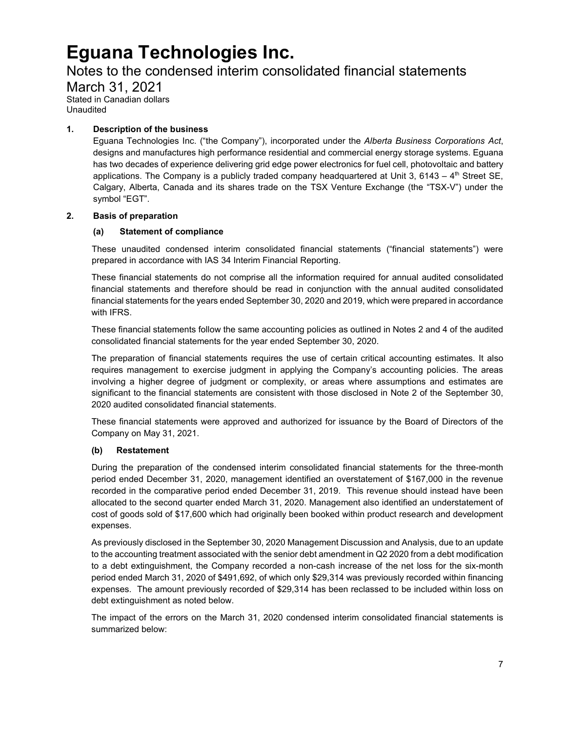### Notes to the condensed interim consolidated financial statements

March 31, 2021 Stated in Canadian dollars Unaudited

#### **1. Description of the business**

Eguana Technologies Inc. ("the Company"), incorporated under the *Alberta Business Corporations Act*, designs and manufactures high performance residential and commercial energy storage systems. Eguana has two decades of experience delivering grid edge power electronics for fuel cell, photovoltaic and battery applications. The Company is a publicly traded company headquartered at Unit 3, 6143 –  $4<sup>th</sup>$  Street SE, Calgary, Alberta, Canada and its shares trade on the TSX Venture Exchange (the "TSX-V") under the symbol "EGT".

#### **2. Basis of preparation**

### **(a) Statement of compliance**

These unaudited condensed interim consolidated financial statements ("financial statements") were prepared in accordance with IAS 34 Interim Financial Reporting.

These financial statements do not comprise all the information required for annual audited consolidated financial statements and therefore should be read in conjunction with the annual audited consolidated financial statements for the years ended September 30, 2020 and 2019, which were prepared in accordance with IFRS.

These financial statements follow the same accounting policies as outlined in Notes 2 and 4 of the audited consolidated financial statements for the year ended September 30, 2020.

The preparation of financial statements requires the use of certain critical accounting estimates. It also requires management to exercise judgment in applying the Company's accounting policies. The areas involving a higher degree of judgment or complexity, or areas where assumptions and estimates are significant to the financial statements are consistent with those disclosed in Note 2 of the September 30, 2020 audited consolidated financial statements.

These financial statements were approved and authorized for issuance by the Board of Directors of the Company on May 31, 2021.

#### **(b) Restatement**

During the preparation of the condensed interim consolidated financial statements for the three-month period ended December 31, 2020, management identified an overstatement of \$167,000 in the revenue recorded in the comparative period ended December 31, 2019. This revenue should instead have been allocated to the second quarter ended March 31, 2020. Management also identified an understatement of cost of goods sold of \$17,600 which had originally been booked within product research and development expenses.

As previously disclosed in the September 30, 2020 Management Discussion and Analysis, due to an update to the accounting treatment associated with the senior debt amendment in Q2 2020 from a debt modification to a debt extinguishment, the Company recorded a non-cash increase of the net loss for the six-month period ended March 31, 2020 of \$491,692, of which only \$29,314 was previously recorded within financing expenses. The amount previously recorded of \$29,314 has been reclassed to be included within loss on debt extinguishment as noted below.

The impact of the errors on the March 31, 2020 condensed interim consolidated financial statements is summarized below: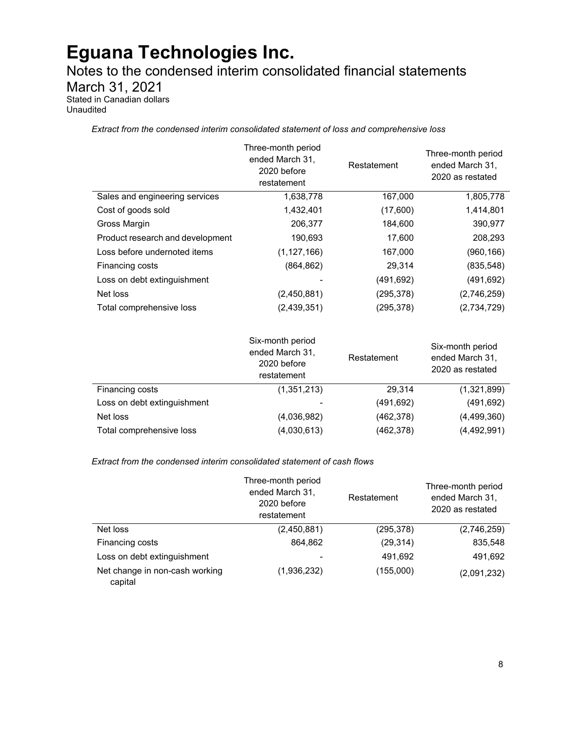Notes to the condensed interim consolidated financial statements

March 31, 2021

Stated in Canadian dollars Unaudited

*Extract from the condensed interim consolidated statement of loss and comprehensive loss* 

|                                  | Three-month period<br>ended March 31,<br>2020 before<br>restatement | Restatement | Three-month period<br>ended March 31,<br>2020 as restated |
|----------------------------------|---------------------------------------------------------------------|-------------|-----------------------------------------------------------|
| Sales and engineering services   | 1,638,778                                                           | 167,000     | 1,805,778                                                 |
| Cost of goods sold               | 1,432,401                                                           | (17,600)    | 1,414,801                                                 |
| Gross Margin                     | 206,377                                                             | 184,600     | 390,977                                                   |
| Product research and development | 190,693                                                             | 17,600      | 208,293                                                   |
| Loss before undernoted items     | (1, 127, 166)                                                       | 167,000     | (960, 166)                                                |
| Financing costs                  | (864, 862)                                                          | 29,314      | (835, 548)                                                |
| Loss on debt extinguishment      |                                                                     | (491, 692)  | (491,692)                                                 |
| Net loss                         | (2,450,881)                                                         | (295, 378)  | (2,746,259)                                               |
| Total comprehensive loss         | (2, 439, 351)                                                       | (295, 378)  | (2,734,729)                                               |

|                             | Six-month period<br>ended March 31,<br>2020 before<br>restatement | Restatement | Six-month period<br>ended March 31,<br>2020 as restated |
|-----------------------------|-------------------------------------------------------------------|-------------|---------------------------------------------------------|
| Financing costs             | (1,351,213)                                                       | 29.314      | (1,321,899)                                             |
| Loss on debt extinguishment | -                                                                 | (491, 692)  | (491, 692)                                              |
| Net loss                    | (4,036,982)                                                       | (462, 378)  | (4,499,360)                                             |
| Total comprehensive loss    | (4,030,613)                                                       | (462, 378)  | (4,492,991)                                             |

*Extract from the condensed interim consolidated statement of cash flows*

|                                           | Three-month period<br>ended March 31,<br>2020 before<br>restatement | Restatement | Three-month period<br>ended March 31,<br>2020 as restated |
|-------------------------------------------|---------------------------------------------------------------------|-------------|-----------------------------------------------------------|
| Net loss                                  | (2,450,881)                                                         | (295, 378)  | (2,746,259)                                               |
| Financing costs                           | 864,862                                                             | (29, 314)   | 835,548                                                   |
| Loss on debt extinguishment               |                                                                     | 491,692     | 491,692                                                   |
| Net change in non-cash working<br>capital | (1,936,232)                                                         | (155,000)   | (2,091,232)                                               |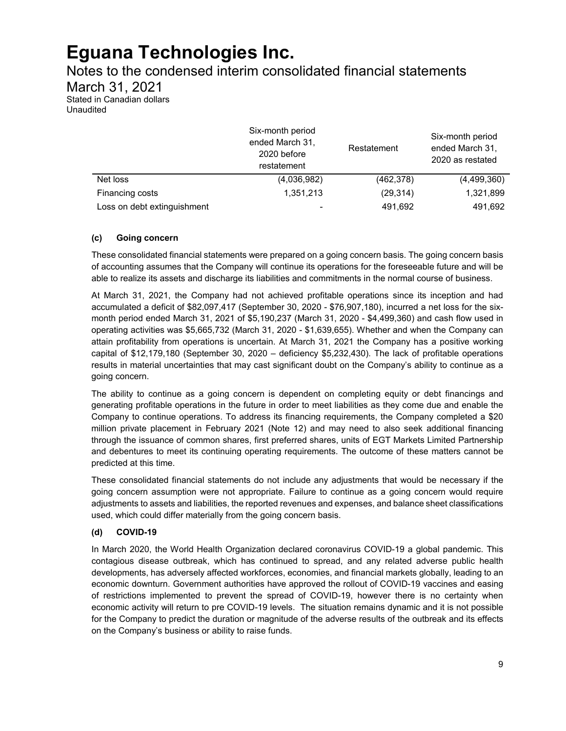Notes to the condensed interim consolidated financial statements

March 31, 2021

Stated in Canadian dollars Unaudited

|                             | Six-month period<br>ended March 31,<br>2020 before<br>restatement | Restatement | Six-month period<br>ended March 31,<br>2020 as restated |
|-----------------------------|-------------------------------------------------------------------|-------------|---------------------------------------------------------|
| Net loss                    | (4,036,982)                                                       | (462, 378)  | (4,499,360)                                             |
| Financing costs             | 1,351,213                                                         | (29, 314)   | 1,321,899                                               |
| Loss on debt extinguishment | -                                                                 | 491,692     | 491,692                                                 |

### **(c) Going concern**

These consolidated financial statements were prepared on a going concern basis. The going concern basis of accounting assumes that the Company will continue its operations for the foreseeable future and will be able to realize its assets and discharge its liabilities and commitments in the normal course of business.

At March 31, 2021, the Company had not achieved profitable operations since its inception and had accumulated a deficit of \$82,097,417 (September 30, 2020 - \$76,907,180), incurred a net loss for the sixmonth period ended March 31, 2021 of \$5,190,237 (March 31, 2020 - \$4,499,360) and cash flow used in operating activities was \$5,665,732 (March 31, 2020 - \$1,639,655). Whether and when the Company can attain profitability from operations is uncertain. At March 31, 2021 the Company has a positive working capital of \$12,179,180 (September 30, 2020 – deficiency \$5,232,430). The lack of profitable operations results in material uncertainties that may cast significant doubt on the Company's ability to continue as a going concern.

The ability to continue as a going concern is dependent on completing equity or debt financings and generating profitable operations in the future in order to meet liabilities as they come due and enable the Company to continue operations. To address its financing requirements, the Company completed a \$20 million private placement in February 2021 (Note 12) and may need to also seek additional financing through the issuance of common shares, first preferred shares, units of EGT Markets Limited Partnership and debentures to meet its continuing operating requirements. The outcome of these matters cannot be predicted at this time.

These consolidated financial statements do not include any adjustments that would be necessary if the going concern assumption were not appropriate. Failure to continue as a going concern would require adjustments to assets and liabilities, the reported revenues and expenses, and balance sheet classifications used, which could differ materially from the going concern basis.

### **(d) COVID-19**

In March 2020, the World Health Organization declared coronavirus COVID-19 a global pandemic. This contagious disease outbreak, which has continued to spread, and any related adverse public health developments, has adversely affected workforces, economies, and financial markets globally, leading to an economic downturn. Government authorities have approved the rollout of COVID-19 vaccines and easing of restrictions implemented to prevent the spread of COVID-19, however there is no certainty when economic activity will return to pre COVID-19 levels. The situation remains dynamic and it is not possible for the Company to predict the duration or magnitude of the adverse results of the outbreak and its effects on the Company's business or ability to raise funds.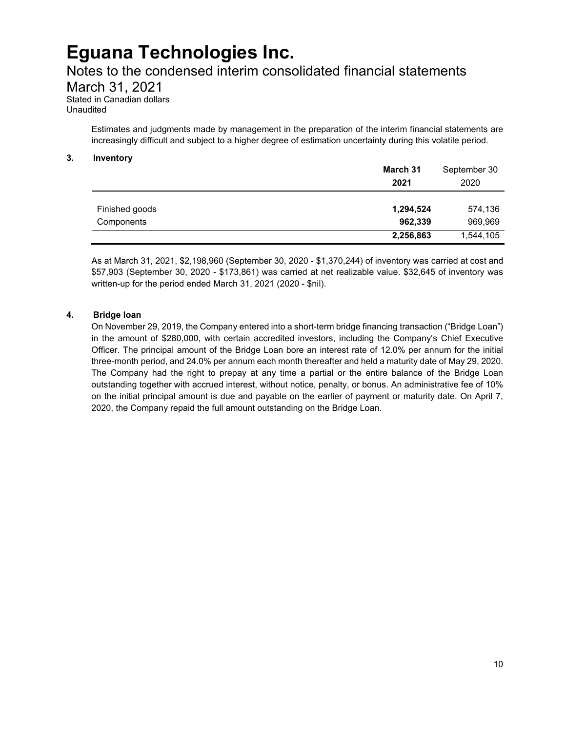### Notes to the condensed interim consolidated financial statements

March 31, 2021

Stated in Canadian dollars Unaudited

> Estimates and judgments made by management in the preparation of the interim financial statements are increasingly difficult and subject to a higher degree of estimation uncertainty during this volatile period.

#### **3. Inventory**

|                | March 31<br>2021 | September 30<br>2020 |
|----------------|------------------|----------------------|
| Finished goods | 1,294,524        | 574,136              |
| Components     | 962,339          | 969,969              |
|                | 2,256,863        | 1,544,105            |

As at March 31, 2021, \$2,198,960 (September 30, 2020 - \$1,370,244) of inventory was carried at cost and \$57,903 (September 30, 2020 - \$173,861) was carried at net realizable value. \$32,645 of inventory was written-up for the period ended March 31, 2021 (2020 - \$nil).

### **4. Bridge loan**

On November 29, 2019, the Company entered into a short-term bridge financing transaction ("Bridge Loan") in the amount of \$280,000, with certain accredited investors, including the Company's Chief Executive Officer. The principal amount of the Bridge Loan bore an interest rate of 12.0% per annum for the initial three-month period, and 24.0% per annum each month thereafter and held a maturity date of May 29, 2020. The Company had the right to prepay at any time a partial or the entire balance of the Bridge Loan outstanding together with accrued interest, without notice, penalty, or bonus. An administrative fee of 10% on the initial principal amount is due and payable on the earlier of payment or maturity date. On April 7, 2020, the Company repaid the full amount outstanding on the Bridge Loan.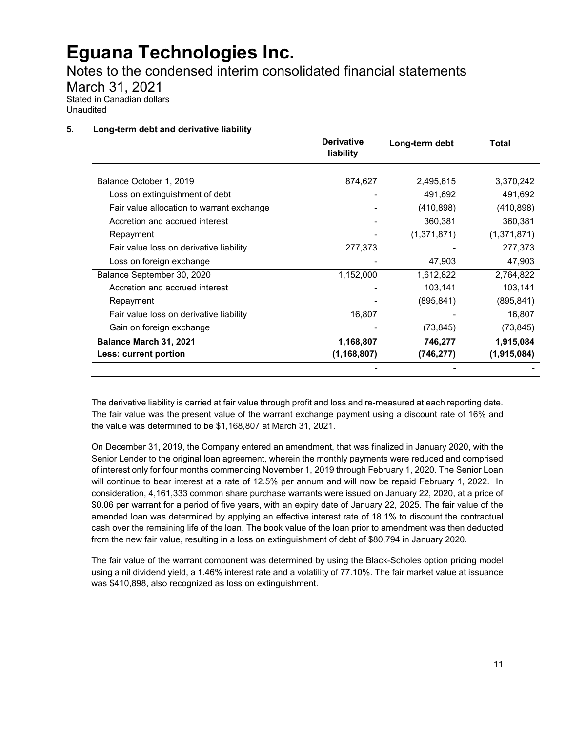Notes to the condensed interim consolidated financial statements

March 31, 2021

Stated in Canadian dollars Unaudited

### **5. Long-term debt and derivative liability**

|                                           | <b>Derivative</b><br>liability | Long-term debt | Total       |
|-------------------------------------------|--------------------------------|----------------|-------------|
| Balance October 1, 2019                   | 874,627                        | 2,495,615      | 3,370,242   |
| Loss on extinguishment of debt            |                                | 491,692        | 491,692     |
| Fair value allocation to warrant exchange |                                | (410, 898)     | (410, 898)  |
| Accretion and accrued interest            |                                | 360,381        | 360,381     |
| Repayment                                 |                                | (1,371,871)    | (1,371,871) |
| Fair value loss on derivative liability   | 277,373                        |                | 277,373     |
| Loss on foreign exchange                  |                                | 47,903         | 47,903      |
| Balance September 30, 2020                | 1,152,000                      | 1,612,822      | 2,764,822   |
| Accretion and accrued interest            |                                | 103,141        | 103,141     |
| Repayment                                 |                                | (895, 841)     | (895, 841)  |
| Fair value loss on derivative liability   | 16,807                         |                | 16,807      |
| Gain on foreign exchange                  |                                | (73, 845)      | (73, 845)   |
| Balance March 31, 2021                    | 1,168,807                      | 746,277        | 1,915,084   |
| Less: current portion                     | (1, 168, 807)                  | (746, 277)     | (1,915,084) |
|                                           |                                |                |             |

The derivative liability is carried at fair value through profit and loss and re-measured at each reporting date. The fair value was the present value of the warrant exchange payment using a discount rate of 16% and the value was determined to be \$1,168,807 at March 31, 2021.

On December 31, 2019, the Company entered an amendment, that was finalized in January 2020, with the Senior Lender to the original loan agreement, wherein the monthly payments were reduced and comprised of interest only for four months commencing November 1, 2019 through February 1, 2020. The Senior Loan will continue to bear interest at a rate of 12.5% per annum and will now be repaid February 1, 2022. In consideration, 4,161,333 common share purchase warrants were issued on January 22, 2020, at a price of \$0.06 per warrant for a period of five years, with an expiry date of January 22, 2025. The fair value of the amended loan was determined by applying an effective interest rate of 18.1% to discount the contractual cash over the remaining life of the loan. The book value of the loan prior to amendment was then deducted from the new fair value, resulting in a loss on extinguishment of debt of \$80,794 in January 2020.

The fair value of the warrant component was determined by using the Black-Scholes option pricing model using a nil dividend yield, a 1.46% interest rate and a volatility of 77.10%. The fair market value at issuance was \$410,898, also recognized as loss on extinguishment.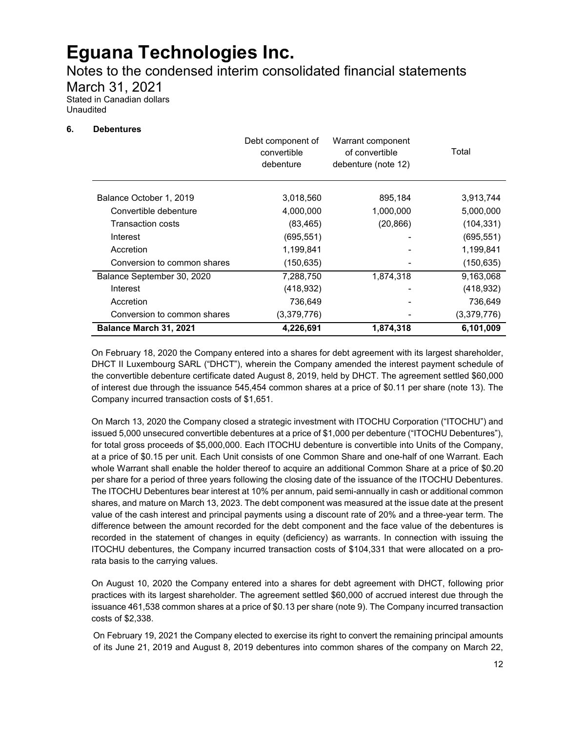Notes to the condensed interim consolidated financial statements

March 31, 2021

Stated in Canadian dollars Unaudited

#### **6. Debentures**

|                             | Debt component of<br>convertible<br>debenture | Warrant component<br>of convertible<br>debenture (note 12) | Total       |
|-----------------------------|-----------------------------------------------|------------------------------------------------------------|-------------|
| Balance October 1, 2019     | 3,018,560                                     | 895,184                                                    | 3,913,744   |
| Convertible debenture       | 4,000,000                                     | 1,000,000                                                  | 5,000,000   |
| Transaction costs           | (83, 465)                                     | (20, 866)                                                  | (104, 331)  |
| Interest                    | (695, 551)                                    |                                                            | (695, 551)  |
| Accretion                   | 1,199,841                                     |                                                            | 1,199,841   |
| Conversion to common shares | (150, 635)                                    |                                                            | (150, 635)  |
| Balance September 30, 2020  | 7,288,750                                     | 1,874,318                                                  | 9,163,068   |
| Interest                    | (418, 932)                                    |                                                            | (418, 932)  |
| Accretion                   | 736,649                                       |                                                            | 736,649     |
| Conversion to common shares | (3,379,776)                                   |                                                            | (3,379,776) |
| Balance March 31, 2021      | 4,226,691                                     | 1,874,318                                                  | 6,101,009   |

On February 18, 2020 the Company entered into a shares for debt agreement with its largest shareholder, DHCT II Luxembourg SARL ("DHCT"), wherein the Company amended the interest payment schedule of the convertible debenture certificate dated August 8, 2019, held by DHCT. The agreement settled \$60,000 of interest due through the issuance 545,454 common shares at a price of \$0.11 per share (note 13). The Company incurred transaction costs of \$1,651.

On March 13, 2020 the Company closed a strategic investment with ITOCHU Corporation ("ITOCHU") and issued 5,000 unsecured convertible debentures at a price of \$1,000 per debenture ("ITOCHU Debentures"), for total gross proceeds of \$5,000,000. Each ITOCHU debenture is convertible into Units of the Company, at a price of \$0.15 per unit. Each Unit consists of one Common Share and one-half of one Warrant. Each whole Warrant shall enable the holder thereof to acquire an additional Common Share at a price of \$0.20 per share for a period of three years following the closing date of the issuance of the ITOCHU Debentures. The ITOCHU Debentures bear interest at 10% per annum, paid semi-annually in cash or additional common shares, and mature on March 13, 2023. The debt component was measured at the issue date at the present value of the cash interest and principal payments using a discount rate of 20% and a three-year term. The difference between the amount recorded for the debt component and the face value of the debentures is recorded in the statement of changes in equity (deficiency) as warrants. In connection with issuing the ITOCHU debentures, the Company incurred transaction costs of \$104,331 that were allocated on a prorata basis to the carrying values.

On August 10, 2020 the Company entered into a shares for debt agreement with DHCT, following prior practices with its largest shareholder. The agreement settled \$60,000 of accrued interest due through the issuance 461,538 common shares at a price of \$0.13 per share (note 9). The Company incurred transaction costs of \$2,338.

On February 19, 2021 the Company elected to exercise its right to convert the remaining principal amounts of its June 21, 2019 and August 8, 2019 debentures into common shares of the company on March 22,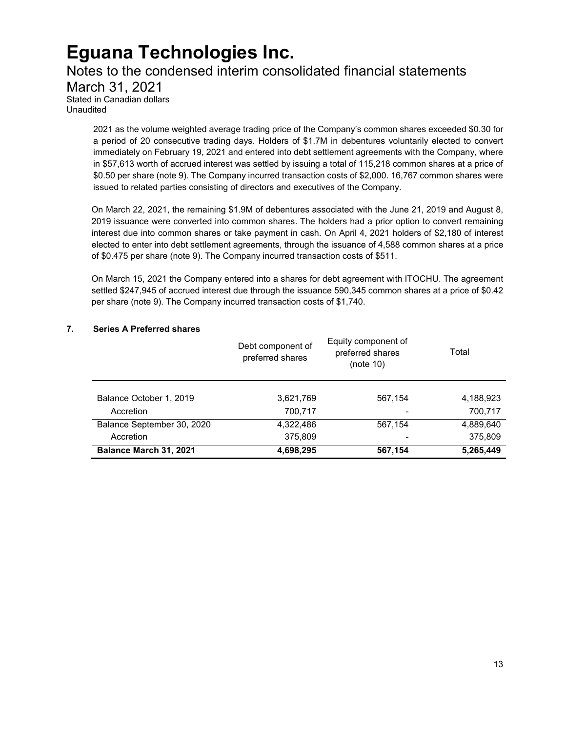### Notes to the condensed interim consolidated financial statements

March 31, 2021 Stated in Canadian dollars Unaudited

> 2021 as the volume weighted average trading price of the Company's common shares exceeded \$0.30 for a period of 20 consecutive trading days. Holders of \$1.7M in debentures voluntarily elected to convert immediately on February 19, 2021 and entered into debt settlement agreements with the Company, where in \$57,613 worth of accrued interest was settled by issuing a total of 115,218 common shares at a price of \$0.50 per share (note 9). The Company incurred transaction costs of \$2,000. 16,767 common shares were issued to related parties consisting of directors and executives of the Company.

> On March 22, 2021, the remaining \$1.9M of debentures associated with the June 21, 2019 and August 8, 2019 issuance were converted into common shares. The holders had a prior option to convert remaining interest due into common shares or take payment in cash. On April 4, 2021 holders of \$2,180 of interest elected to enter into debt settlement agreements, through the issuance of 4,588 common shares at a price of \$0.475 per share (note 9). The Company incurred transaction costs of \$511.

> On March 15, 2021 the Company entered into a shares for debt agreement with ITOCHU. The agreement settled \$247,945 of accrued interest due through the issuance 590,345 common shares at a price of \$0.42 per share (note 9). The Company incurred transaction costs of \$1,740.

### **7. Series A Preferred shares**

|                            | Debt component of<br>preferred shares | Equity component of<br>preferred shares<br>(note 10) | Total     |
|----------------------------|---------------------------------------|------------------------------------------------------|-----------|
| Balance October 1, 2019    | 3,621,769                             | 567,154                                              | 4,188,923 |
| Accretion                  | 700,717                               |                                                      | 700,717   |
| Balance September 30, 2020 | 4,322,486                             | 567,154                                              | 4,889,640 |
| Accretion                  | 375,809                               |                                                      | 375,809   |
| Balance March 31, 2021     | 4,698,295                             | 567,154                                              | 5,265,449 |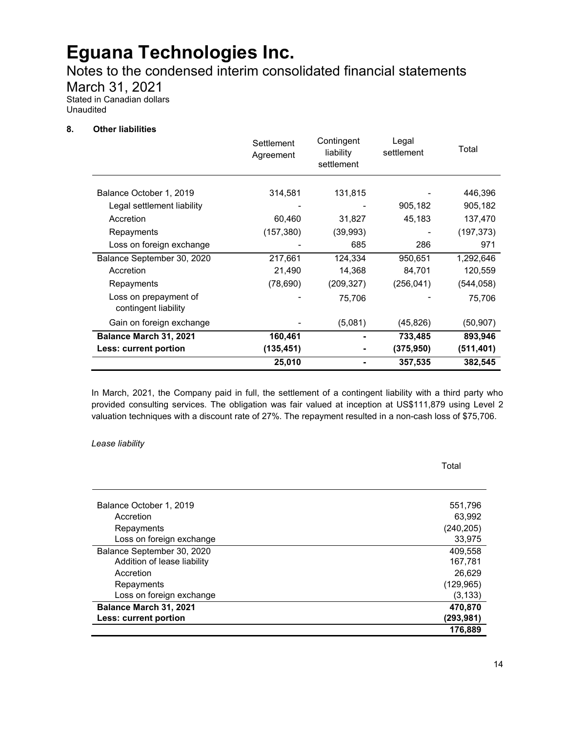Notes to the condensed interim consolidated financial statements

March 31, 2021

Stated in Canadian dollars Unaudited

#### **8. Other liabilities**

|                                               | Settlement<br>Agreement | Contingent<br>liability<br>settlement | Legal<br>settlement | Total      |
|-----------------------------------------------|-------------------------|---------------------------------------|---------------------|------------|
| Balance October 1, 2019                       | 314,581                 | 131,815                               |                     | 446,396    |
| Legal settlement liability                    |                         |                                       | 905,182             | 905,182    |
| Accretion                                     | 60,460                  | 31,827                                | 45,183              | 137,470    |
| Repayments                                    | (157, 380)              | (39,993)                              |                     | (197, 373) |
| Loss on foreign exchange                      |                         | 685                                   | 286                 | 971        |
| Balance September 30, 2020                    | 217,661                 | 124,334                               | 950,651             | 1,292,646  |
| Accretion                                     | 21,490                  | 14,368                                | 84,701              | 120,559    |
| Repayments                                    | (78, 690)               | (209,327)                             | (256, 041)          | (544,058)  |
| Loss on prepayment of<br>contingent liability |                         | 75,706                                |                     | 75,706     |
| Gain on foreign exchange                      |                         | (5,081)                               | (45, 826)           | (50, 907)  |
| Balance March 31, 2021                        | 160,461                 |                                       | 733,485             | 893,946    |
| Less: current portion                         | (135, 451)              |                                       | (375, 950)          | (511, 401) |
|                                               | 25,010                  |                                       | 357,535             | 382,545    |

In March, 2021, the Company paid in full, the settlement of a contingent liability with a third party who provided consulting services. The obligation was fair valued at inception at US\$111,879 using Level 2 valuation techniques with a discount rate of 27%. The repayment resulted in a non-cash loss of \$75,706.

#### *Lease liability*

Balance October 1, 2019 **Figure 1, 2019** 551,796 Accretion 63,992 Repayments (240,205) Loss on foreign exchange 33,975 Balance September 30, 2020 **409,558** and the september 30, 2020 Addition of lease liability 167,781 Accretion 26,629 **Accretion** 26,629 **26,629** Repayments (129,965) Loss on foreign exchange (3,133) **Balance March 31, 2021 470,870 Less: current portion (293,981) 176,889**

Total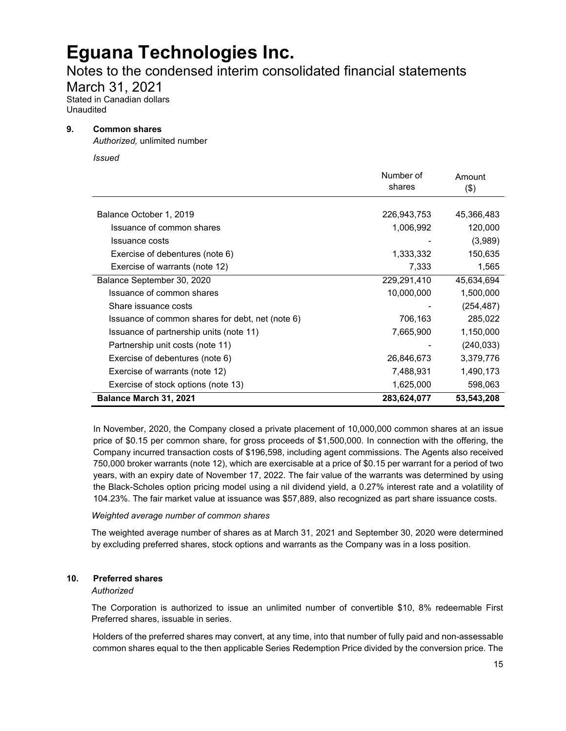### Notes to the condensed interim consolidated financial statements

March 31, 2021

Stated in Canadian dollars Unaudited

#### **9. Common shares**

*Authorized,* unlimited number

*Issued*

|                                                  | Number of<br>shares | Amount<br>(3) |
|--------------------------------------------------|---------------------|---------------|
|                                                  |                     |               |
| Balance October 1, 2019                          | 226,943,753         | 45,366,483    |
| Issuance of common shares                        | 1,006,992           | 120,000       |
| Issuance costs                                   |                     | (3,989)       |
| Exercise of debentures (note 6)                  | 1,333,332           | 150,635       |
| Exercise of warrants (note 12)                   | 7,333               | 1,565         |
| Balance September 30, 2020                       | 229,291,410         | 45,634,694    |
| Issuance of common shares                        | 10,000,000          | 1,500,000     |
| Share issuance costs                             |                     | (254, 487)    |
| Issuance of common shares for debt, net (note 6) | 706,163             | 285,022       |
| Issuance of partnership units (note 11)          | 7,665,900           | 1,150,000     |
| Partnership unit costs (note 11)                 |                     | (240, 033)    |
| Exercise of debentures (note 6)                  | 26,846,673          | 3,379,776     |
| Exercise of warrants (note 12)                   | 7,488,931           | 1,490,173     |
| Exercise of stock options (note 13)              | 1,625,000           | 598,063       |
| <b>Balance March 31, 2021</b>                    | 283,624,077         | 53,543,208    |

In November, 2020, the Company closed a private placement of 10,000,000 common shares at an issue price of \$0.15 per common share, for gross proceeds of \$1,500,000. In connection with the offering, the Company incurred transaction costs of \$196,598, including agent commissions. The Agents also received 750,000 broker warrants (note 12), which are exercisable at a price of \$0.15 per warrant for a period of two years, with an expiry date of November 17, 2022. The fair value of the warrants was determined by using the Black-Scholes option pricing model using a nil dividend yield, a 0.27% interest rate and a volatility of 104.23%. The fair market value at issuance was \$57,889, also recognized as part share issuance costs.

#### *Weighted average number of common shares*

The weighted average number of shares as at March 31, 2021 and September 30, 2020 were determined by excluding preferred shares, stock options and warrants as the Company was in a loss position.

#### **10. Preferred shares**

*Authorized*

The Corporation is authorized to issue an unlimited number of convertible \$10, 8% redeemable First Preferred shares, issuable in series.

Holders of the preferred shares may convert, at any time, into that number of fully paid and non-assessable common shares equal to the then applicable Series Redemption Price divided by the conversion price. The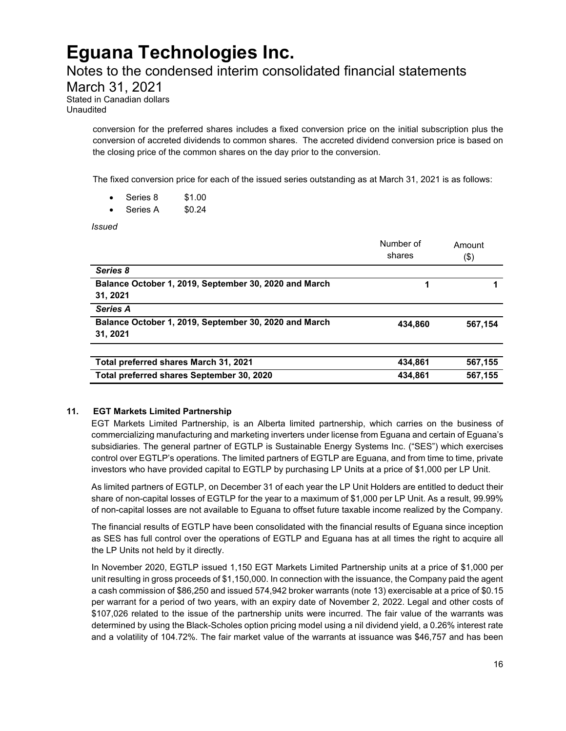### Notes to the condensed interim consolidated financial statements

March 31, 2021

Stated in Canadian dollars Unaudited

> conversion for the preferred shares includes a fixed conversion price on the initial subscription plus the conversion of accreted dividends to common shares. The accreted dividend conversion price is based on the closing price of the common shares on the day prior to the conversion.

The fixed conversion price for each of the issued series outstanding as at March 31, 2021 is as follows:

- Series 8 \$1.00
- Series A \$0.24

*Issued*

|                                                                   | Number of<br>shares | Amount<br>(\$) |
|-------------------------------------------------------------------|---------------------|----------------|
| Series 8                                                          |                     |                |
| Balance October 1, 2019, September 30, 2020 and March<br>31, 2021 | 1                   |                |
| <b>Series A</b>                                                   |                     |                |
| Balance October 1, 2019, September 30, 2020 and March<br>31, 2021 | 434.860             | 567.154        |
| Total preferred shares March 31, 2021                             | 434,861             | 567,155        |
| Total preferred shares September 30, 2020                         | 434,861             | 567,155        |

#### **11. EGT Markets Limited Partnership**

EGT Markets Limited Partnership, is an Alberta limited partnership, which carries on the business of commercializing manufacturing and marketing inverters under license from Eguana and certain of Eguana's subsidiaries. The general partner of EGTLP is Sustainable Energy Systems Inc. ("SES") which exercises control over EGTLP's operations. The limited partners of EGTLP are Eguana, and from time to time, private investors who have provided capital to EGTLP by purchasing LP Units at a price of \$1,000 per LP Unit.

As limited partners of EGTLP, on December 31 of each year the LP Unit Holders are entitled to deduct their share of non-capital losses of EGTLP for the year to a maximum of \$1,000 per LP Unit. As a result, 99.99% of non-capital losses are not available to Eguana to offset future taxable income realized by the Company.

The financial results of EGTLP have been consolidated with the financial results of Eguana since inception as SES has full control over the operations of EGTLP and Eguana has at all times the right to acquire all the LP Units not held by it directly.

In November 2020, EGTLP issued 1,150 EGT Markets Limited Partnership units at a price of \$1,000 per unit resulting in gross proceeds of \$1,150,000. In connection with the issuance, the Company paid the agent a cash commission of \$86,250 and issued 574,942 broker warrants (note 13) exercisable at a price of \$0.15 per warrant for a period of two years, with an expiry date of November 2, 2022. Legal and other costs of \$107,026 related to the issue of the partnership units were incurred. The fair value of the warrants was determined by using the Black-Scholes option pricing model using a nil dividend yield, a 0.26% interest rate and a volatility of 104.72%. The fair market value of the warrants at issuance was \$46,757 and has been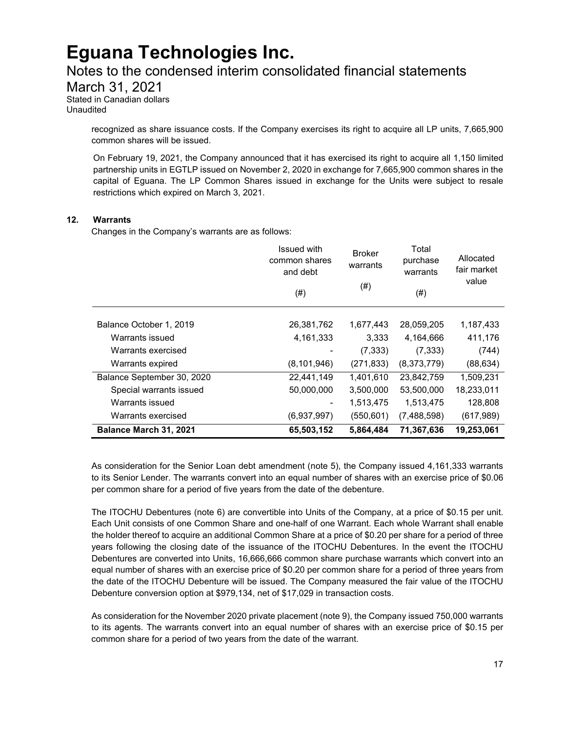### Notes to the condensed interim consolidated financial statements

March 31, 2021

Stated in Canadian dollars Unaudited

> recognized as share issuance costs. If the Company exercises its right to acquire all LP units, 7,665,900 common shares will be issued.

> On February 19, 2021, the Company announced that it has exercised its right to acquire all 1,150 limited partnership units in EGTLP issued on November 2, 2020 in exchange for 7,665,900 common shares in the capital of Eguana. The LP Common Shares issued in exchange for the Units were subject to resale restrictions which expired on March 3, 2021.

#### **12. Warrants**

Changes in the Company's warrants are as follows:

|                            | <b>Issued with</b><br>common shares<br>and debt<br>$(\#)$ | <b>Broker</b><br>warrants<br>$^{(#)}$ | Total<br>purchase<br>warrants<br>$(\#)$ | Allocated<br>fair market<br>value |
|----------------------------|-----------------------------------------------------------|---------------------------------------|-----------------------------------------|-----------------------------------|
| Balance October 1, 2019    | 26,381,762                                                | 1,677,443                             | 28,059,205                              | 1,187,433                         |
| Warrants issued            | 4,161,333                                                 | 3,333                                 | 4,164,666                               | 411,176                           |
| Warrants exercised         |                                                           | (7, 333)                              | (7, 333)                                | (744)                             |
| Warrants expired           | (8, 101, 946)                                             | (271, 833)                            | (8,373,779)                             | (88, 634)                         |
| Balance September 30, 2020 | 22,441,149                                                | 1,401,610                             | 23,842,759                              | 1,509,231                         |
| Special warrants issued    | 50,000,000                                                | 3,500,000                             | 53,500,000                              | 18,233,011                        |
| Warrants issued            | ۰                                                         | 1,513,475                             | 1,513,475                               | 128,808                           |
| Warrants exercised         | (6,937,997)                                               | (550, 601)                            | (7,488,598)                             | (617, 989)                        |
| Balance March 31, 2021     | 65,503,152                                                | 5,864,484                             | 71,367,636                              | 19,253,061                        |

As consideration for the Senior Loan debt amendment (note 5), the Company issued 4,161,333 warrants to its Senior Lender. The warrants convert into an equal number of shares with an exercise price of \$0.06 per common share for a period of five years from the date of the debenture.

The ITOCHU Debentures (note 6) are convertible into Units of the Company, at a price of \$0.15 per unit. Each Unit consists of one Common Share and one-half of one Warrant. Each whole Warrant shall enable the holder thereof to acquire an additional Common Share at a price of \$0.20 per share for a period of three years following the closing date of the issuance of the ITOCHU Debentures. In the event the ITOCHU Debentures are converted into Units, 16,666,666 common share purchase warrants which convert into an equal number of shares with an exercise price of \$0.20 per common share for a period of three years from the date of the ITOCHU Debenture will be issued. The Company measured the fair value of the ITOCHU Debenture conversion option at \$979,134, net of \$17,029 in transaction costs.

As consideration for the November 2020 private placement (note 9), the Company issued 750,000 warrants to its agents. The warrants convert into an equal number of shares with an exercise price of \$0.15 per common share for a period of two years from the date of the warrant.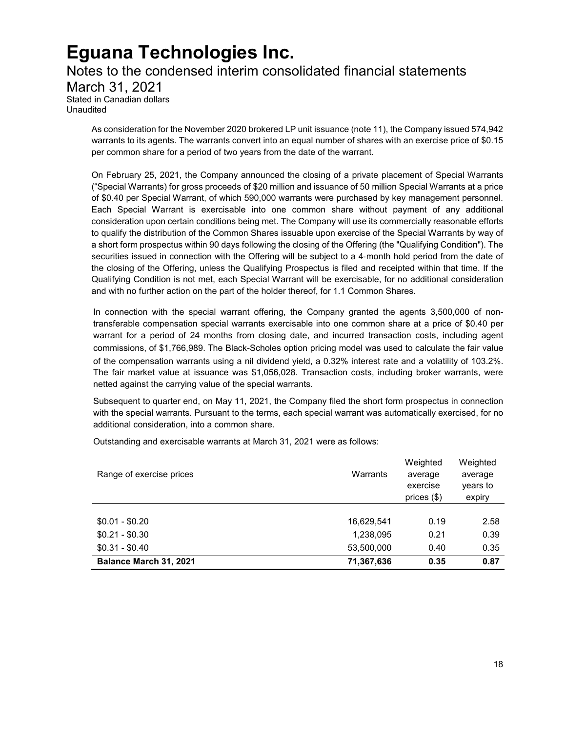Notes to the condensed interim consolidated financial statements March 31, 2021 Stated in Canadian dollars Unaudited

As consideration for the November 2020 brokered LP unit issuance (note 11), the Company issued 574,942 warrants to its agents. The warrants convert into an equal number of shares with an exercise price of \$0.15 per common share for a period of two years from the date of the warrant.

On February 25, 2021, the Company announced the closing of a private placement of Special Warrants ("Special Warrants) for gross proceeds of \$20 million and issuance of 50 million Special Warrants at a price of \$0.40 per Special Warrant, of which 590,000 warrants were purchased by key management personnel. Each Special Warrant is exercisable into one common share without payment of any additional consideration upon certain conditions being met. The Company will use its commercially reasonable efforts to qualify the distribution of the Common Shares issuable upon exercise of the Special Warrants by way of a short form prospectus within 90 days following the closing of the Offering (the "Qualifying Condition"). The securities issued in connection with the Offering will be subject to a 4‐month hold period from the date of the closing of the Offering, unless the Qualifying Prospectus is filed and receipted within that time. If the Qualifying Condition is not met, each Special Warrant will be exercisable, for no additional consideration and with no further action on the part of the holder thereof, for 1.1 Common Shares.

In connection with the special warrant offering, the Company granted the agents 3,500,000 of nontransferable compensation special warrants exercisable into one common share at a price of \$0.40 per warrant for a period of 24 months from closing date, and incurred transaction costs, including agent commissions, of \$1,766,989. The Black-Scholes option pricing model was used to calculate the fair value of the compensation warrants using a nil dividend yield, a 0.32% interest rate and a volatility of 103.2%. The fair market value at issuance was \$1,056,028. Transaction costs, including broker warrants, were netted against the carrying value of the special warrants.

Subsequent to quarter end, on May 11, 2021, the Company filed the short form prospectus in connection with the special warrants. Pursuant to the terms, each special warrant was automatically exercised, for no additional consideration, into a common share.

Outstanding and exercisable warrants at March 31, 2021 were as follows:

| Range of exercise prices | Warrants   | Weighted<br>average<br>exercise<br>prices $(\$)$ | Weighted<br>average<br>years to<br>expiry |
|--------------------------|------------|--------------------------------------------------|-------------------------------------------|
| $$0.01 - $0.20$          | 16,629,541 | 0.19                                             | 2.58                                      |
| $$0.21 - $0.30$          | 1,238,095  | 0.21                                             | 0.39                                      |
| $$0.31 - $0.40$          | 53,500,000 | 0.40                                             | 0.35                                      |
| Balance March 31, 2021   | 71,367,636 | 0.35                                             | 0.87                                      |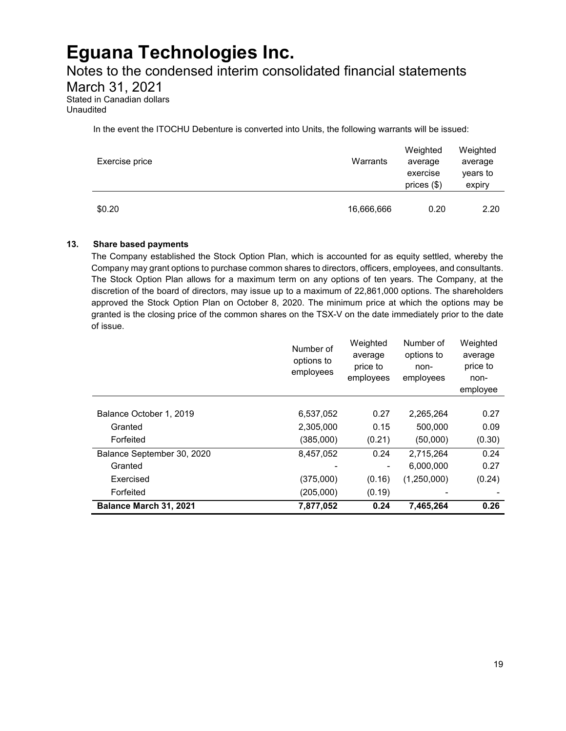### Notes to the condensed interim consolidated financial statements

March 31, 2021

Stated in Canadian dollars Unaudited

In the event the ITOCHU Debenture is converted into Units, the following warrants will be issued:

| Exercise price | Warrants   | Weighted<br>average<br>exercise<br>prices $(\$)$ | Weighted<br>average<br>years to<br>expiry |
|----------------|------------|--------------------------------------------------|-------------------------------------------|
| \$0.20         | 16,666,666 | 0.20                                             | 2.20                                      |

#### **13. Share based payments**

The Company established the Stock Option Plan, which is accounted for as equity settled, whereby the Company may grant options to purchase common shares to directors, officers, employees, and consultants. The Stock Option Plan allows for a maximum term on any options of ten years. The Company, at the discretion of the board of directors, may issue up to a maximum of 22,861,000 options. The shareholders approved the Stock Option Plan on October 8, 2020. The minimum price at which the options may be granted is the closing price of the common shares on the TSX-V on the date immediately prior to the date of issue.

|                            | Number of<br>options to<br>employees | Weighted<br>average<br>price to<br>employees | Number of<br>options to<br>non-<br>employees | Weighted<br>average<br>price to<br>non-<br>employee |
|----------------------------|--------------------------------------|----------------------------------------------|----------------------------------------------|-----------------------------------------------------|
|                            |                                      |                                              |                                              |                                                     |
| Balance October 1, 2019    | 6,537,052                            | 0.27                                         | 2,265,264                                    | 0.27                                                |
| Granted                    | 2,305,000                            | 0.15                                         | 500,000                                      | 0.09                                                |
| Forfeited                  | (385,000)                            | (0.21)                                       | (50,000)                                     | (0.30)                                              |
| Balance September 30, 2020 | 8,457,052                            | 0.24                                         | 2,715,264                                    | 0.24                                                |
| Granted                    |                                      |                                              | 6,000,000                                    | 0.27                                                |
| Exercised                  | (375,000)                            | (0.16)                                       | (1,250,000)                                  | (0.24)                                              |
| Forfeited                  | (205,000)                            | (0.19)                                       |                                              |                                                     |
| Balance March 31, 2021     | 7,877,052                            | 0.24                                         | 7,465,264                                    | 0.26                                                |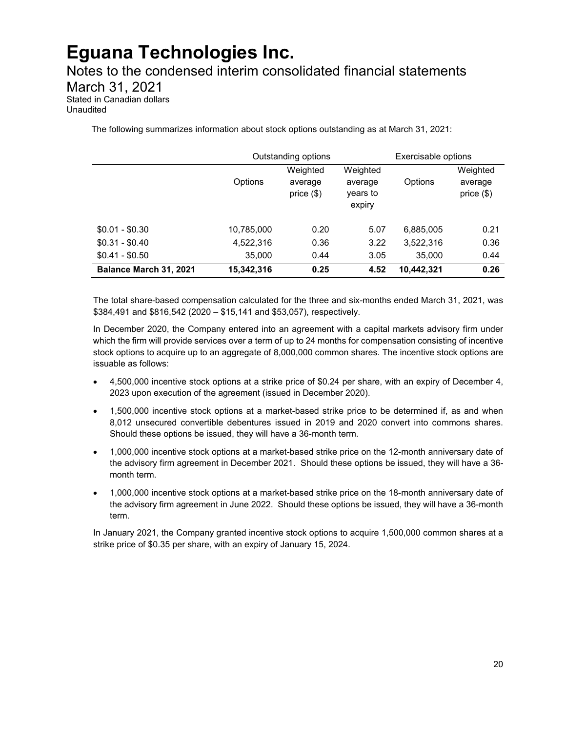Notes to the condensed interim consolidated financial statements March 31, 2021

Stated in Canadian dollars Unaudited

The following summarizes information about stock options outstanding as at March 31, 2021:

|                        |            | Outstanding options                 |                                           | Exercisable options |                                     |
|------------------------|------------|-------------------------------------|-------------------------------------------|---------------------|-------------------------------------|
|                        | Options    | Weighted<br>average<br>price $(\$)$ | Weighted<br>average<br>years to<br>expiry | Options             | Weighted<br>average<br>price $(\$)$ |
| $$0.01 - $0.30$        | 10,785,000 | 0.20                                | 5.07                                      | 6,885,005           | 0.21                                |
| $$0.31 - $0.40$        | 4,522,316  | 0.36                                | 3.22                                      | 3,522,316           | 0.36                                |
| $$0.41 - $0.50$        | 35,000     | 0.44                                | 3.05                                      | 35,000              | 0.44                                |
| Balance March 31, 2021 | 15,342,316 | 0.25                                | 4.52                                      | 10,442,321          | 0.26                                |

The total share-based compensation calculated for the three and six-months ended March 31, 2021, was \$384,491 and \$816,542 (2020 – \$15,141 and \$53,057), respectively.

In December 2020, the Company entered into an agreement with a capital markets advisory firm under which the firm will provide services over a term of up to 24 months for compensation consisting of incentive stock options to acquire up to an aggregate of 8,000,000 common shares. The incentive stock options are issuable as follows:

- 4,500,000 incentive stock options at a strike price of \$0.24 per share, with an expiry of December 4, 2023 upon execution of the agreement (issued in December 2020).
- 1,500,000 incentive stock options at a market-based strike price to be determined if, as and when 8,012 unsecured convertible debentures issued in 2019 and 2020 convert into commons shares. Should these options be issued, they will have a 36-month term.
- 1,000,000 incentive stock options at a market-based strike price on the 12-month anniversary date of the advisory firm agreement in December 2021. Should these options be issued, they will have a 36 month term.
- 1,000,000 incentive stock options at a market-based strike price on the 18-month anniversary date of the advisory firm agreement in June 2022. Should these options be issued, they will have a 36-month term.

In January 2021, the Company granted incentive stock options to acquire 1,500,000 common shares at a strike price of \$0.35 per share, with an expiry of January 15, 2024.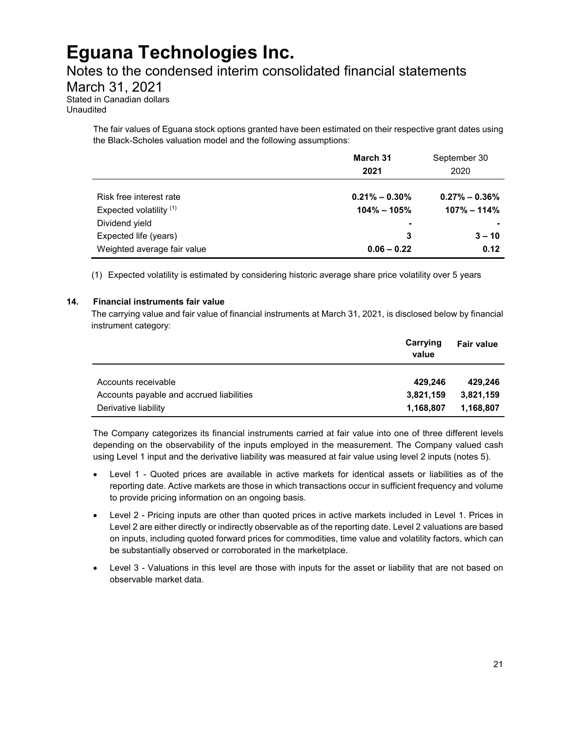### Notes to the condensed interim consolidated financial statements

March 31, 2021

Stated in Canadian dollars Unaudited

> The fair values of Eguana stock options granted have been estimated on their respective grant dates using the Black-Scholes valuation model and the following assumptions:

|                             | March 31<br>2021         | September 30<br>2020 |
|-----------------------------|--------------------------|----------------------|
| Risk free interest rate     | $0.21\% - 0.30\%$        | $0.27\% - 0.36\%$    |
| Expected volatility $(1)$   | $104\% - 105\%$          | $107\% - 114\%$      |
| Dividend yield              | $\overline{\phantom{0}}$ |                      |
| Expected life (years)       | 3                        | $3 - 10$             |
| Weighted average fair value | $0.06 - 0.22$            | 0.12                 |

(1) Expected volatility is estimated by considering historic average share price volatility over 5 years

#### **14. Financial instruments fair value**

The carrying value and fair value of financial instruments at March 31, 2021, is disclosed below by financial instrument category:

|                                          | Carrying<br>value | <b>Fair value</b> |
|------------------------------------------|-------------------|-------------------|
| Accounts receivable                      | 429.246           | 429.246           |
| Accounts payable and accrued liabilities | 3,821,159         | 3,821,159         |
| Derivative liability                     | 1,168,807         | 1,168,807         |

The Company categorizes its financial instruments carried at fair value into one of three different levels depending on the observability of the inputs employed in the measurement. The Company valued cash using Level 1 input and the derivative liability was measured at fair value using level 2 inputs (notes 5).

- Level 1 Quoted prices are available in active markets for identical assets or liabilities as of the reporting date. Active markets are those in which transactions occur in sufficient frequency and volume to provide pricing information on an ongoing basis.
- Level 2 Pricing inputs are other than quoted prices in active markets included in Level 1. Prices in Level 2 are either directly or indirectly observable as of the reporting date. Level 2 valuations are based on inputs, including quoted forward prices for commodities, time value and volatility factors, which can be substantially observed or corroborated in the marketplace.
- Level 3 Valuations in this level are those with inputs for the asset or liability that are not based on observable market data.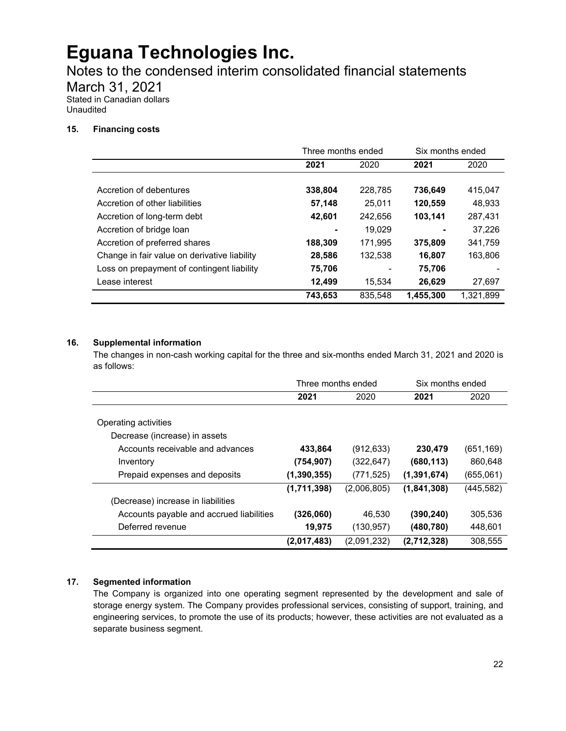Notes to the condensed interim consolidated financial statements

March 31, 2021

Stated in Canadian dollars Unaudited

#### **15. Financing costs**

|                                              | Three months ended |         | Six months ended |           |
|----------------------------------------------|--------------------|---------|------------------|-----------|
|                                              | 2021               | 2020    | 2021             | 2020      |
|                                              |                    |         |                  |           |
| Accretion of debentures                      | 338,804            | 228,785 | 736,649          | 415,047   |
| Accretion of other liabilities               | 57,148             | 25.011  | 120,559          | 48,933    |
| Accretion of long-term debt                  | 42,601             | 242.656 | 103.141          | 287,431   |
| Accretion of bridge loan                     |                    | 19.029  |                  | 37.226    |
| Accretion of preferred shares                | 188,309            | 171,995 | 375,809          | 341,759   |
| Change in fair value on derivative liability | 28,586             | 132,538 | 16,807           | 163,806   |
| Loss on prepayment of contingent liability   | 75,706             |         | 75,706           |           |
| Lease interest                               | 12.499             | 15.534  | 26.629           | 27,697    |
|                                              | 743,653            | 835,548 | 1,455,300        | 1,321,899 |

### **16. Supplemental information**

The changes in non-cash working capital for the three and six-months ended March 31, 2021 and 2020 is as follows:

|                                          | Three months ended |             | Six months ended |            |
|------------------------------------------|--------------------|-------------|------------------|------------|
|                                          | 2021               | 2020        | 2021             | 2020       |
|                                          |                    |             |                  |            |
| Operating activities                     |                    |             |                  |            |
| Decrease (increase) in assets            |                    |             |                  |            |
| Accounts receivable and advances         | 433,864            | (912, 633)  | 230,479          | (651, 169) |
| Inventory                                | (754, 907)         | (322, 647)  | (680, 113)       | 860,648    |
| Prepaid expenses and deposits            | (1, 390, 355)      | (771, 525)  | (1, 391, 674)    | (655,061)  |
|                                          | (1,711,398)        | (2,006,805) | (1,841,308)      | (445,582)  |
| (Decrease) increase in liabilities       |                    |             |                  |            |
| Accounts payable and accrued liabilities | (326,060)          | 46.530      | (390,240)        | 305,536    |
| Deferred revenue                         | 19,975             | (130, 957)  | (480, 780)       | 448,601    |
|                                          | (2,017,483)        | (2,091,232) | (2,712,328)      | 308,555    |

### **17. Segmented information**

The Company is organized into one operating segment represented by the development and sale of storage energy system. The Company provides professional services, consisting of support, training, and engineering services, to promote the use of its products; however, these activities are not evaluated as a separate business segment.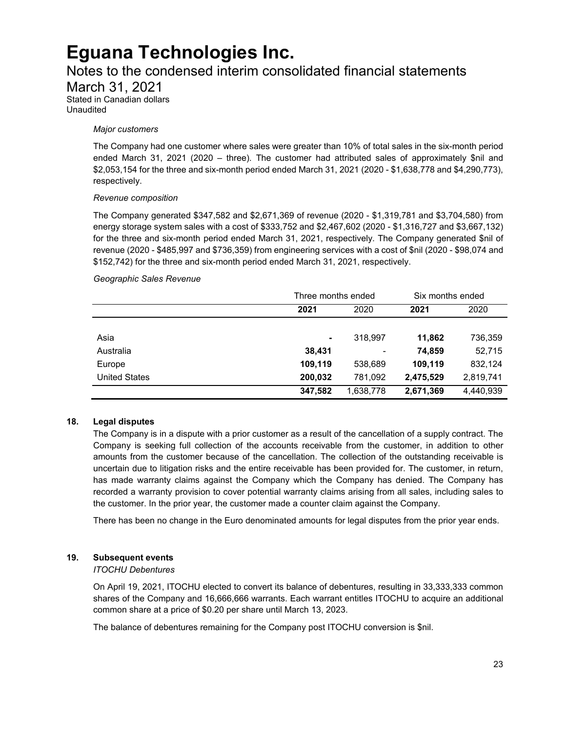### Notes to the condensed interim consolidated financial statements

March 31, 2021

Stated in Canadian dollars Unaudited

#### *Major customers*

The Company had one customer where sales were greater than 10% of total sales in the six-month period ended March 31, 2021 (2020 – three). The customer had attributed sales of approximately \$nil and \$2,053,154 for the three and six-month period ended March 31, 2021 (2020 - \$1,638,778 and \$4,290,773), respectively.

#### *Revenue composition*

The Company generated \$347,582 and \$2,671,369 of revenue (2020 - \$1,319,781 and \$3,704,580) from energy storage system sales with a cost of \$333,752 and \$2,467,602 (2020 - \$1,316,727 and \$3,667,132) for the three and six-month period ended March 31, 2021, respectively. The Company generated \$nil of revenue (2020 - \$485,997 and \$736,359) from engineering services with a cost of \$nil (2020 - \$98,074 and \$152,742) for the three and six-month period ended March 31, 2021, respectively.

#### *Geographic Sales Revenue*

|                      | Three months ended |                          | Six months ended |           |
|----------------------|--------------------|--------------------------|------------------|-----------|
|                      | 2021               | 2020                     | 2021             | 2020      |
|                      |                    |                          |                  |           |
| Asia                 | ۰                  | 318.997                  | 11,862           | 736,359   |
| Australia            | 38,431             | $\overline{\phantom{a}}$ | 74,859           | 52,715    |
| Europe               | 109,119            | 538,689                  | 109,119          | 832,124   |
| <b>United States</b> | 200,032            | 781,092                  | 2,475,529        | 2,819,741 |
|                      | 347,582            | 1,638,778                | 2,671,369        | 4,440,939 |

#### **18. Legal disputes**

The Company is in a dispute with a prior customer as a result of the cancellation of a supply contract. The Company is seeking full collection of the accounts receivable from the customer, in addition to other amounts from the customer because of the cancellation. The collection of the outstanding receivable is uncertain due to litigation risks and the entire receivable has been provided for. The customer, in return, has made warranty claims against the Company which the Company has denied. The Company has recorded a warranty provision to cover potential warranty claims arising from all sales, including sales to the customer. In the prior year, the customer made a counter claim against the Company.

There has been no change in the Euro denominated amounts for legal disputes from the prior year ends.

#### **19. Subsequent events**

#### *ITOCHU Debentures*

On April 19, 2021, ITOCHU elected to convert its balance of debentures, resulting in 33,333,333 common shares of the Company and 16,666,666 warrants. Each warrant entitles ITOCHU to acquire an additional common share at a price of \$0.20 per share until March 13, 2023.

The balance of debentures remaining for the Company post ITOCHU conversion is \$nil.